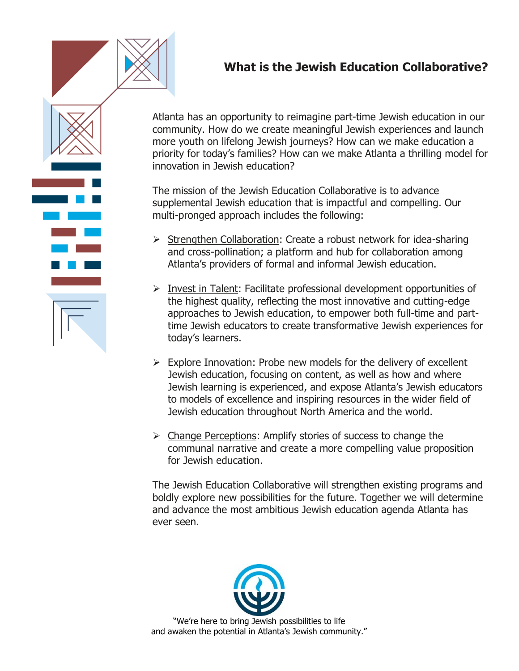

## **What is the Jewish Education Collaborative?**

Atlanta has an opportunity to reimagine part-time Jewish education in our community. How do we create meaningful Jewish experiences and launch more youth on lifelong Jewish journeys? How can we make education a priority for today's families? How can we make Atlanta a thrilling model for innovation in Jewish education?

The mission of the Jewish Education Collaborative is to advance supplemental Jewish education that is impactful and compelling. Our multi-pronged approach includes the following:

- ➢ Strengthen Collaboration: Create a robust network for idea-sharing and cross-pollination; a platform and hub for collaboration among Atlanta's providers of formal and informal Jewish education.
- ➢ Invest in Talent: Facilitate professional development opportunities of the highest quality, reflecting the most innovative and cutting-edge approaches to Jewish education, to empower both full-time and parttime Jewish educators to create transformative Jewish experiences for today's learners.
- ➢ Explore Innovation: Probe new models for the delivery of excellent Jewish education, focusing on content, as well as how and where Jewish learning is experienced, and expose Atlanta's Jewish educators to models of excellence and inspiring resources in the wider field of Jewish education throughout North America and the world.
- ➢ Change Perceptions: Amplify stories of success to change the communal narrative and create a more compelling value proposition for Jewish education.

The Jewish Education Collaborative will strengthen existing programs and boldly explore new possibilities for the future. Together we will determine and advance the most ambitious Jewish education agenda Atlanta has ever seen.



"We're here to bring Jewish possibilities to life and awaken the potential in Atlanta's Jewish community."